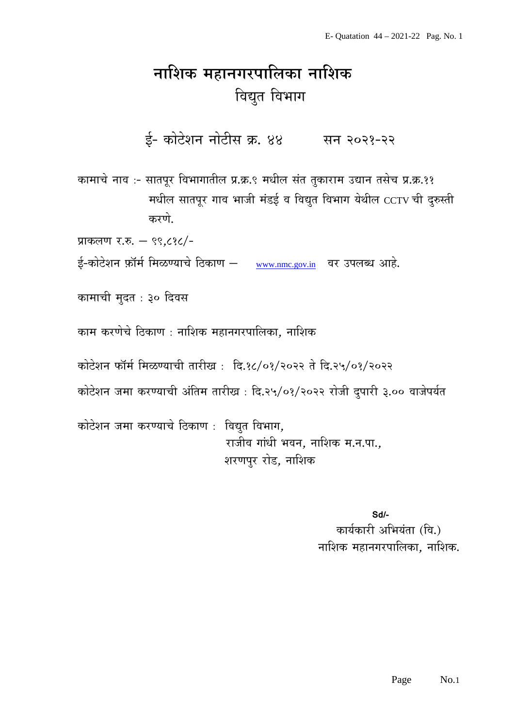## नाशिक महानगरपालिका नाशिक विद्युत विभाग

ई- कोटेशन नोटीस क्र. ४४ सन २०२१-२२

कामाचे नाव :- सातपूर विभागातील प्र.क्र.९ मधील संत तुकाराम उद्यान तसेच प्र.क्र.११ मधील सातपूर गाव भाजी मंडई व विद्युत विभाग येथील CCTV ची दुरुस्ती करणे.

प्राकलण र.रु. - ९९.८१८/-

ई-कोटेशन फ़ॉर्म मिळण्याचे ठिकाण – www.nmc.gov.in वर उपलब्ध आहे.

कामाची मुदत : ३० दिवस

काम करणेचे ठिकाण : नाशिक महानगरपालिका, नाशिक

कोटेशन फॉर्म मिळण्याची तारीख: दि.१८/०१/२०२२ ते दि.२५/०१/२०२२

कोटेशन जमा करण्याची अंतिम तारीख: दि.२५/०१/२०२२ रोजी दुपारी ३.०० वाजेपर्यत

कोटेशन जमा करण्याचे ठिकाण: विद्युत विभाग, राजीव गांधी भवन, नाशिक म.न.पा., शरणपुर रोड, नाशिक

> Sd/-कार्यकारी अभियंता (वि.) नाशिक महानगरपालिका. नाशिक.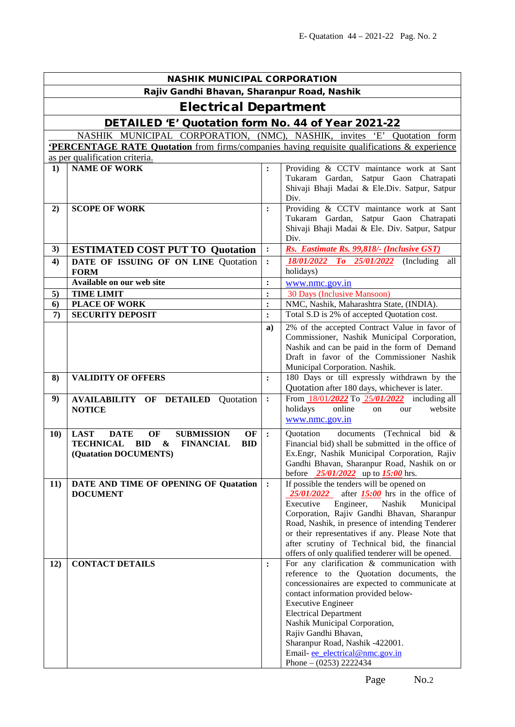| <b>NASHIK MUNICIPAL CORPORATION</b> |                                                                                                    |                |                                                                                                                 |  |  |  |  |  |  |
|-------------------------------------|----------------------------------------------------------------------------------------------------|----------------|-----------------------------------------------------------------------------------------------------------------|--|--|--|--|--|--|
|                                     | Rajiv Gandhi Bhavan, Sharanpur Road, Nashik                                                        |                |                                                                                                                 |  |  |  |  |  |  |
| <b>Electrical Department</b>        |                                                                                                    |                |                                                                                                                 |  |  |  |  |  |  |
|                                     | DETAILED 'E' Quotation form No. 44 of Year 2021-22                                                 |                |                                                                                                                 |  |  |  |  |  |  |
|                                     | NASHIK MUNICIPAL CORPORATION, (NMC),                                                               |                | NASHIK, invites 'E' Quotation form                                                                              |  |  |  |  |  |  |
|                                     | <b>PERCENTAGE RATE Quotation</b> from firms/companies having requisite qualifications & experience |                |                                                                                                                 |  |  |  |  |  |  |
|                                     | as per qualification criteria.                                                                     |                |                                                                                                                 |  |  |  |  |  |  |
| 1)                                  | <b>NAME OF WORK</b>                                                                                | $\ddot{\cdot}$ | Providing & CCTV maintance work at Sant<br>Tukaram Gardan, Satpur Gaon Chatrapati                               |  |  |  |  |  |  |
|                                     |                                                                                                    |                | Shivaji Bhaji Madai & Ele.Div. Satpur, Satpur<br>Div.                                                           |  |  |  |  |  |  |
| 2)                                  | <b>SCOPE OF WORK</b>                                                                               | $\ddot{\cdot}$ | Providing & CCTV maintance work at Sant                                                                         |  |  |  |  |  |  |
|                                     |                                                                                                    |                | Tukaram Gardan, Satpur Gaon Chatrapati<br>Shivaji Bhaji Madai & Ele. Div. Satpur, Satpur                        |  |  |  |  |  |  |
|                                     |                                                                                                    |                | Div.                                                                                                            |  |  |  |  |  |  |
| 3)                                  | <b>ESTIMATED COST PUT TO Quotation</b>                                                             | :              | Rs. Eastimate Rs. 99,818/- (Inclusive GST)                                                                      |  |  |  |  |  |  |
| 4)                                  | DATE OF ISSUING OF ON LINE Quotation                                                               | $\ddot{\cdot}$ | 18/01/2022 To 25/01/2022<br>(Including)<br>all                                                                  |  |  |  |  |  |  |
|                                     | <b>FORM</b>                                                                                        |                | holidays)                                                                                                       |  |  |  |  |  |  |
|                                     | Available on our web site                                                                          | :              | www.nmc.gov.in                                                                                                  |  |  |  |  |  |  |
| 5)                                  | <b>TIME LIMIT</b>                                                                                  | $\ddot{\cdot}$ | 30 Days (Inclusive Mansoon)                                                                                     |  |  |  |  |  |  |
| 6)                                  | <b>PLACE OF WORK</b>                                                                               | :              | NMC, Nashik, Maharashtra State, (INDIA).                                                                        |  |  |  |  |  |  |
| $\boldsymbol{7}$                    | <b>SECURITY DEPOSIT</b>                                                                            | $\ddot{\cdot}$ | Total S.D is 2% of accepted Quotation cost.                                                                     |  |  |  |  |  |  |
|                                     |                                                                                                    | a)             | 2% of the accepted Contract Value in favor of                                                                   |  |  |  |  |  |  |
|                                     |                                                                                                    |                | Commissioner, Nashik Municipal Corporation,<br>Nashik and can be paid in the form of Demand                     |  |  |  |  |  |  |
|                                     |                                                                                                    |                | Draft in favor of the Commissioner Nashik                                                                       |  |  |  |  |  |  |
|                                     |                                                                                                    |                | Municipal Corporation. Nashik.                                                                                  |  |  |  |  |  |  |
| 8)                                  | <b>VALIDITY OF OFFERS</b>                                                                          | :              | 180 Days or till expressly withdrawn by the<br>Quotation after 180 days, whichever is later.                    |  |  |  |  |  |  |
| 9)                                  | <b>AVAILABILITY OF DETAILED</b><br>Quotation                                                       | $\ddot{\cdot}$ | From 18/01/2022 To 25/01/2022<br>including all                                                                  |  |  |  |  |  |  |
|                                     | <b>NOTICE</b>                                                                                      |                | holidays<br>website<br>online<br>our<br>on<br>www.nmc.gov.in                                                    |  |  |  |  |  |  |
| <b>10)</b>                          | <b>LAST</b><br><b>SUBMISSION</b><br><b>DATE</b><br>OF<br>OF                                        | $\ddot{\cdot}$ | documents (Technical bid &<br>Quotation                                                                         |  |  |  |  |  |  |
|                                     | <b>TECHNICAL</b><br><b>BID</b><br>$\boldsymbol{\&}$<br><b>FINANCIAL</b><br><b>BID</b>              |                | Financial bid) shall be submitted in the office of                                                              |  |  |  |  |  |  |
|                                     | (Quatation DOCUMENTS)                                                                              |                | Ex.Engr, Nashik Municipal Corporation, Rajiv                                                                    |  |  |  |  |  |  |
|                                     |                                                                                                    |                | Gandhi Bhavan, Sharanpur Road, Nashik on or<br>$\frac{25/01}{2022}$ up to <b>15:00</b> hrs.<br>before           |  |  |  |  |  |  |
| 11)                                 | DATE AND TIME OF OPENING OF Quatation                                                              | $\ddot{\cdot}$ | If possible the tenders will be opened on                                                                       |  |  |  |  |  |  |
|                                     | <b>DOCUMENT</b>                                                                                    |                | <i><b>25/01/2022</b></i><br>after $15:00$ hrs in the office of<br>Executive<br>Engineer,<br>Nashik<br>Municipal |  |  |  |  |  |  |
|                                     |                                                                                                    |                | Corporation, Rajiv Gandhi Bhavan, Sharanpur                                                                     |  |  |  |  |  |  |
|                                     |                                                                                                    |                | Road, Nashik, in presence of intending Tenderer                                                                 |  |  |  |  |  |  |
|                                     |                                                                                                    |                | or their representatives if any. Please Note that                                                               |  |  |  |  |  |  |
|                                     |                                                                                                    |                | after scrutiny of Technical bid, the financial                                                                  |  |  |  |  |  |  |
|                                     |                                                                                                    |                | offers of only qualified tenderer will be opened.                                                               |  |  |  |  |  |  |
| 12)                                 | <b>CONTACT DETAILS</b>                                                                             | :              | For any clarification & communication with<br>reference to the Quotation documents, the                         |  |  |  |  |  |  |
|                                     |                                                                                                    |                | concessionaires are expected to communicate at                                                                  |  |  |  |  |  |  |
|                                     |                                                                                                    |                | contact information provided below-                                                                             |  |  |  |  |  |  |
|                                     |                                                                                                    |                | <b>Executive Engineer</b>                                                                                       |  |  |  |  |  |  |
|                                     |                                                                                                    |                | <b>Electrical Department</b>                                                                                    |  |  |  |  |  |  |
|                                     |                                                                                                    |                | Nashik Municipal Corporation,                                                                                   |  |  |  |  |  |  |
|                                     |                                                                                                    |                | Rajiv Gandhi Bhavan,<br>Sharanpur Road, Nashik -422001.                                                         |  |  |  |  |  |  |
|                                     |                                                                                                    |                | Email-ee_electrical@nmc.gov.in                                                                                  |  |  |  |  |  |  |
|                                     |                                                                                                    |                | Phone $- (0253)$ 2222434                                                                                        |  |  |  |  |  |  |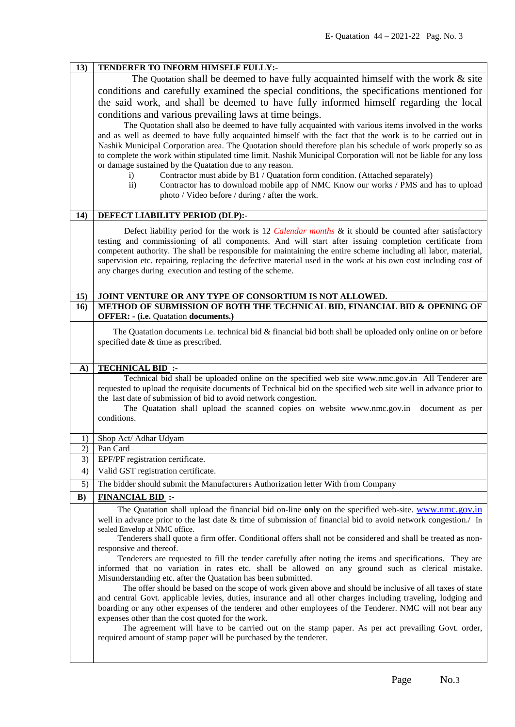|            | TENDERER TO INFORM HIMSELF FULLY:-                                                                                                                                                                                                |  |  |  |  |  |
|------------|-----------------------------------------------------------------------------------------------------------------------------------------------------------------------------------------------------------------------------------|--|--|--|--|--|
|            | The Quotation shall be deemed to have fully acquainted himself with the work $\&$ site                                                                                                                                            |  |  |  |  |  |
|            | conditions and carefully examined the special conditions, the specifications mentioned for                                                                                                                                        |  |  |  |  |  |
|            | the said work, and shall be deemed to have fully informed himself regarding the local                                                                                                                                             |  |  |  |  |  |
|            |                                                                                                                                                                                                                                   |  |  |  |  |  |
|            | conditions and various prevailing laws at time beings.<br>The Quotation shall also be deemed to have fully acquainted with various items involved in the works                                                                    |  |  |  |  |  |
|            | and as well as deemed to have fully acquainted himself with the fact that the work is to be carried out in                                                                                                                        |  |  |  |  |  |
|            | Nashik Municipal Corporation area. The Quotation should therefore plan his schedule of work properly so as<br>to complete the work within stipulated time limit. Nashik Municipal Corporation will not be liable for any loss     |  |  |  |  |  |
|            |                                                                                                                                                                                                                                   |  |  |  |  |  |
|            | or damage sustained by the Quatation due to any reason.                                                                                                                                                                           |  |  |  |  |  |
|            | Contractor must abide by B1 / Quatation form condition. (Attached separately)<br>$\left( i\right)$                                                                                                                                |  |  |  |  |  |
|            | Contractor has to download mobile app of NMC Know our works / PMS and has to upload<br>$\rm ii)$                                                                                                                                  |  |  |  |  |  |
|            | photo / Video before / during / after the work.                                                                                                                                                                                   |  |  |  |  |  |
| 14)        | DEFECT LIABILITY PERIOD (DLP):-                                                                                                                                                                                                   |  |  |  |  |  |
|            |                                                                                                                                                                                                                                   |  |  |  |  |  |
|            | Defect liability period for the work is 12 <i>Calendar months &amp;</i> it should be counted after satisfactory                                                                                                                   |  |  |  |  |  |
|            | testing and commissioning of all components. And will start after issuing completion certificate from                                                                                                                             |  |  |  |  |  |
|            | competent authority. The shall be responsible for maintaining the entire scheme including all labor, material,<br>supervision etc. repairing, replacing the defective material used in the work at his own cost including cost of |  |  |  |  |  |
|            | any charges during execution and testing of the scheme.                                                                                                                                                                           |  |  |  |  |  |
|            |                                                                                                                                                                                                                                   |  |  |  |  |  |
| 15)        | JOINT VENTURE OR ANY TYPE OF CONSORTIUM IS NOT ALLOWED.                                                                                                                                                                           |  |  |  |  |  |
| 16)        | METHOD OF SUBMISSION OF BOTH THE TECHNICAL BID, FINANCIAL BID & OPENING OF                                                                                                                                                        |  |  |  |  |  |
|            | <b>OFFER: - (i.e. Quatation documents.)</b>                                                                                                                                                                                       |  |  |  |  |  |
|            | The Quatation documents i.e. technical bid & financial bid both shall be uploaded only online on or before                                                                                                                        |  |  |  |  |  |
|            | specified date & time as prescribed.                                                                                                                                                                                              |  |  |  |  |  |
|            |                                                                                                                                                                                                                                   |  |  |  |  |  |
| <b>A</b> ) | <b>TECHNICAL BID:</b>                                                                                                                                                                                                             |  |  |  |  |  |
|            | Technical bid shall be uploaded online on the specified web site www.nmc.gov.in All Tenderer are                                                                                                                                  |  |  |  |  |  |
|            | requested to upload the requisite documents of Technical bid on the specified web site well in advance prior to                                                                                                                   |  |  |  |  |  |
|            | the last date of submission of bid to avoid network congestion.                                                                                                                                                                   |  |  |  |  |  |
|            | The Quatation shall upload the scanned copies on website www.nmc.gov.in<br>document as per                                                                                                                                        |  |  |  |  |  |
|            | conditions.                                                                                                                                                                                                                       |  |  |  |  |  |
|            |                                                                                                                                                                                                                                   |  |  |  |  |  |
|            |                                                                                                                                                                                                                                   |  |  |  |  |  |
| 1)         | Shop Act/ Adhar Udyam                                                                                                                                                                                                             |  |  |  |  |  |
| 2)         | Pan Card                                                                                                                                                                                                                          |  |  |  |  |  |
| 3)         | EPF/PF registration certificate.                                                                                                                                                                                                  |  |  |  |  |  |
| 4)         | Valid GST registration certificate.                                                                                                                                                                                               |  |  |  |  |  |
| 5)         | The bidder should submit the Manufacturers Authorization letter With from Company                                                                                                                                                 |  |  |  |  |  |
| B)         | <b>FINANCIAL BID:</b>                                                                                                                                                                                                             |  |  |  |  |  |
|            | The Quatation shall upload the financial bid on-line only on the specified web-site. www.nmc.gov.in                                                                                                                               |  |  |  |  |  |
|            | well in advance prior to the last date $\&$ time of submission of financial bid to avoid network congestion. In<br>sealed Envelop at NMC office.                                                                                  |  |  |  |  |  |
|            | Tenderers shall quote a firm offer. Conditional offers shall not be considered and shall be treated as non-                                                                                                                       |  |  |  |  |  |
|            | responsive and thereof.                                                                                                                                                                                                           |  |  |  |  |  |
|            | Tenderers are requested to fill the tender carefully after noting the items and specifications. They are                                                                                                                          |  |  |  |  |  |
|            | informed that no variation in rates etc. shall be allowed on any ground such as clerical mistake.                                                                                                                                 |  |  |  |  |  |
|            | Misunderstanding etc. after the Quatation has been submitted.                                                                                                                                                                     |  |  |  |  |  |
|            | The offer should be based on the scope of work given above and should be inclusive of all taxes of state                                                                                                                          |  |  |  |  |  |
|            | and central Govt. applicable levies, duties, insurance and all other charges including traveling, lodging and                                                                                                                     |  |  |  |  |  |
|            | boarding or any other expenses of the tenderer and other employees of the Tenderer. NMC will not bear any<br>expenses other than the cost quoted for the work.                                                                    |  |  |  |  |  |
|            | The agreement will have to be carried out on the stamp paper. As per act prevailing Govt. order,                                                                                                                                  |  |  |  |  |  |
|            | required amount of stamp paper will be purchased by the tenderer.                                                                                                                                                                 |  |  |  |  |  |
|            |                                                                                                                                                                                                                                   |  |  |  |  |  |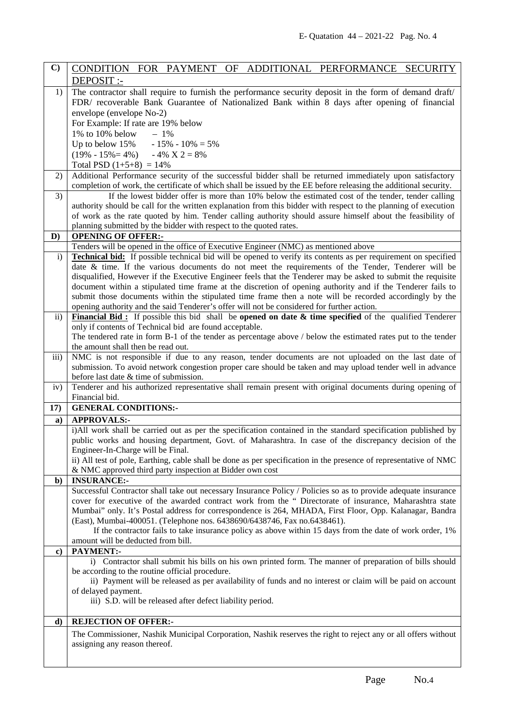| $\mathbf{C}$        | CONDITION FOR PAYMENT OF ADDITIONAL PERFORMANCE SECURITY                                                                                                                                                                     |  |  |  |  |  |
|---------------------|------------------------------------------------------------------------------------------------------------------------------------------------------------------------------------------------------------------------------|--|--|--|--|--|
|                     | DEPOSIT :-                                                                                                                                                                                                                   |  |  |  |  |  |
| 1)                  | The contractor shall require to furnish the performance security deposit in the form of demand draft/                                                                                                                        |  |  |  |  |  |
|                     | FDR/ recoverable Bank Guarantee of Nationalized Bank within 8 days after opening of financial                                                                                                                                |  |  |  |  |  |
|                     | envelope (envelope No-2)                                                                                                                                                                                                     |  |  |  |  |  |
|                     | For Example: If rate are 19% below                                                                                                                                                                                           |  |  |  |  |  |
|                     | $1\%$ to $10\%$ below<br>$-1\%$                                                                                                                                                                                              |  |  |  |  |  |
|                     | Up to below $15\% - 15\% - 10\% = 5\%$                                                                                                                                                                                       |  |  |  |  |  |
|                     | $(19\% - 15\% = 4\%)$ - 4% X 2 = 8%<br>Total PSD $(1+5+8) = 14\%$                                                                                                                                                            |  |  |  |  |  |
| 2)                  |                                                                                                                                                                                                                              |  |  |  |  |  |
|                     | Additional Performance security of the successful bidder shall be returned immediately upon satisfactory<br>completion of work, the certificate of which shall be issued by the EE before releasing the additional security. |  |  |  |  |  |
| 3)                  | If the lowest bidder offer is more than 10% below the estimated cost of the tender, tender calling                                                                                                                           |  |  |  |  |  |
|                     | authority should be call for the written explanation from this bidder with respect to the planning of execution                                                                                                              |  |  |  |  |  |
|                     | of work as the rate quoted by him. Tender calling authority should assure himself about the feasibility of                                                                                                                   |  |  |  |  |  |
|                     | planning submitted by the bidder with respect to the quoted rates.                                                                                                                                                           |  |  |  |  |  |
| D)                  | <b>OPENING OF OFFER:-</b>                                                                                                                                                                                                    |  |  |  |  |  |
|                     | Tenders will be opened in the office of Executive Engineer (NMC) as mentioned above                                                                                                                                          |  |  |  |  |  |
| $\mathbf{i}$        | <b>Technical bid:</b> If possible technical bid will be opened to verify its contents as per requirement on specified                                                                                                        |  |  |  |  |  |
|                     | date & time. If the various documents do not meet the requirements of the Tender, Tenderer will be                                                                                                                           |  |  |  |  |  |
|                     | disqualified, However if the Executive Engineer feels that the Tenderer may be asked to submit the requisite<br>document within a stipulated time frame at the discretion of opening authority and if the Tenderer fails to  |  |  |  |  |  |
|                     | submit those documents within the stipulated time frame then a note will be recorded accordingly by the                                                                                                                      |  |  |  |  |  |
|                     | opening authority and the said Tenderer's offer will not be considered for further action.                                                                                                                                   |  |  |  |  |  |
| $\ddot{\textbf{i}}$ | Financial Bid: If possible this bid shall be opened on date $\&$ time specified of the qualified Tenderer                                                                                                                    |  |  |  |  |  |
|                     | only if contents of Technical bid are found acceptable.                                                                                                                                                                      |  |  |  |  |  |
|                     | The tendered rate in form B-1 of the tender as percentage above / below the estimated rates put to the tender                                                                                                                |  |  |  |  |  |
|                     | the amount shall then be read out.                                                                                                                                                                                           |  |  |  |  |  |
| iii)                | NMC is not responsible if due to any reason, tender documents are not uploaded on the last date of                                                                                                                           |  |  |  |  |  |
|                     | submission. To avoid network congestion proper care should be taken and may upload tender well in advance<br>before last date & time of submission.                                                                          |  |  |  |  |  |
|                     |                                                                                                                                                                                                                              |  |  |  |  |  |
|                     |                                                                                                                                                                                                                              |  |  |  |  |  |
| iv)                 | Tenderer and his authorized representative shall remain present with original documents during opening of<br>Financial bid.                                                                                                  |  |  |  |  |  |
| 17)                 | <b>GENERAL CONDITIONS:-</b>                                                                                                                                                                                                  |  |  |  |  |  |
| a)                  | <b>APPROVALS:-</b>                                                                                                                                                                                                           |  |  |  |  |  |
|                     | i)All work shall be carried out as per the specification contained in the standard specification published by                                                                                                                |  |  |  |  |  |
|                     | public works and housing department, Govt. of Maharashtra. In case of the discrepancy decision of the                                                                                                                        |  |  |  |  |  |
|                     | Engineer-In-Charge will be Final.                                                                                                                                                                                            |  |  |  |  |  |
|                     | ii) All test of pole, Earthing, cable shall be done as per specification in the presence of representative of NMC                                                                                                            |  |  |  |  |  |
|                     | & NMC approved third party inspection at Bidder own cost                                                                                                                                                                     |  |  |  |  |  |
| $\mathbf{b}$        | <b>INSURANCE:-</b>                                                                                                                                                                                                           |  |  |  |  |  |
|                     | Successful Contractor shall take out necessary Insurance Policy / Policies so as to provide adequate insurance<br>cover for executive of the awarded contract work from the " Directorate of insurance, Maharashtra state    |  |  |  |  |  |
|                     | Mumbai" only. It's Postal address for correspondence is 264, MHADA, First Floor, Opp. Kalanagar, Bandra                                                                                                                      |  |  |  |  |  |
|                     | (East), Mumbai-400051. (Telephone nos. 6438690/6438746, Fax no.6438461).                                                                                                                                                     |  |  |  |  |  |
|                     | If the contractor fails to take insurance policy as above within 15 days from the date of work order, 1%                                                                                                                     |  |  |  |  |  |
|                     | amount will be deducted from bill.                                                                                                                                                                                           |  |  |  |  |  |
| c)                  | PAYMENT:-                                                                                                                                                                                                                    |  |  |  |  |  |
|                     | i) Contractor shall submit his bills on his own printed form. The manner of preparation of bills should                                                                                                                      |  |  |  |  |  |
|                     | be according to the routine official procedure.                                                                                                                                                                              |  |  |  |  |  |
|                     | ii) Payment will be released as per availability of funds and no interest or claim will be paid on account                                                                                                                   |  |  |  |  |  |
|                     | of delayed payment.<br>iii) S.D. will be released after defect liability period.                                                                                                                                             |  |  |  |  |  |
|                     |                                                                                                                                                                                                                              |  |  |  |  |  |
| $\mathbf{d}$        | <b>REJECTION OF OFFER:-</b>                                                                                                                                                                                                  |  |  |  |  |  |
|                     | The Commissioner, Nashik Municipal Corporation, Nashik reserves the right to reject any or all offers without                                                                                                                |  |  |  |  |  |
|                     | assigning any reason thereof.                                                                                                                                                                                                |  |  |  |  |  |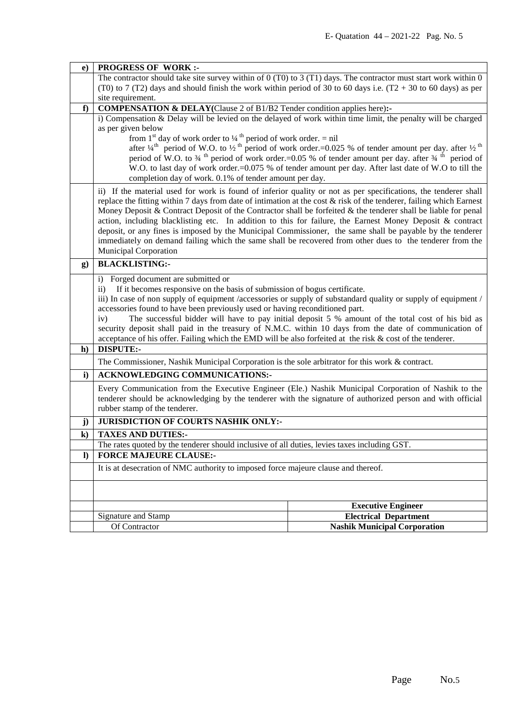| $\bf{e})$    | <b>PROGRESS OF WORK:-</b>                                                                                                                                                                                                                                                                                                                                                                                                                                                                                                                                                                                                                                                                                                         |                                     |  |  |  |  |  |
|--------------|-----------------------------------------------------------------------------------------------------------------------------------------------------------------------------------------------------------------------------------------------------------------------------------------------------------------------------------------------------------------------------------------------------------------------------------------------------------------------------------------------------------------------------------------------------------------------------------------------------------------------------------------------------------------------------------------------------------------------------------|-------------------------------------|--|--|--|--|--|
|              | The contractor should take site survey within of $0(T0)$ to $3(T1)$ days. The contractor must start work within $0$                                                                                                                                                                                                                                                                                                                                                                                                                                                                                                                                                                                                               |                                     |  |  |  |  |  |
|              | (T0) to 7 (T2) days and should finish the work within period of 30 to 60 days i.e. $(T2 + 30)$ to 60 days) as per                                                                                                                                                                                                                                                                                                                                                                                                                                                                                                                                                                                                                 |                                     |  |  |  |  |  |
|              | site requirement.                                                                                                                                                                                                                                                                                                                                                                                                                                                                                                                                                                                                                                                                                                                 |                                     |  |  |  |  |  |
| f            | <b>COMPENSATION &amp; DELAY</b> (Clause 2 of B1/B2 Tender condition applies here):-                                                                                                                                                                                                                                                                                                                                                                                                                                                                                                                                                                                                                                               |                                     |  |  |  |  |  |
|              | i) Compensation & Delay will be levied on the delayed of work within time limit, the penalty will be charged                                                                                                                                                                                                                                                                                                                                                                                                                                                                                                                                                                                                                      |                                     |  |  |  |  |  |
|              | as per given below                                                                                                                                                                                                                                                                                                                                                                                                                                                                                                                                                                                                                                                                                                                |                                     |  |  |  |  |  |
|              | from 1 <sup>st</sup> day of work order to $\frac{1}{4}$ <sup>th</sup> period of work order. = nil<br>after $\frac{1}{4}$ <sup>th</sup> period of W.O. to $\frac{1}{2}$ <sup>th</sup> period of work order.=0.025 % of tender amount per day. after $\frac{1}{2}$ <sup>th</sup>                                                                                                                                                                                                                                                                                                                                                                                                                                                    |                                     |  |  |  |  |  |
|              | period of W.O. to $\frac{3}{4}$ <sup>th</sup> period of work order.=0.05 % of tender amount per day. after $\frac{3}{4}$ <sup>th</sup> period of                                                                                                                                                                                                                                                                                                                                                                                                                                                                                                                                                                                  |                                     |  |  |  |  |  |
|              | W.O. to last day of work order.=0.075 % of tender amount per day. After last date of W.O to till the                                                                                                                                                                                                                                                                                                                                                                                                                                                                                                                                                                                                                              |                                     |  |  |  |  |  |
|              | completion day of work. 0.1% of tender amount per day.                                                                                                                                                                                                                                                                                                                                                                                                                                                                                                                                                                                                                                                                            |                                     |  |  |  |  |  |
|              | ii) If the material used for work is found of inferior quality or not as per specifications, the tenderer shall<br>replace the fitting within 7 days from date of intimation at the cost $\&$ risk of the tenderer, failing which Earnest<br>Money Deposit & Contract Deposit of the Contractor shall be forfeited & the tenderer shall be liable for penal<br>action, including blacklisting etc. In addition to this for failure, the Earnest Money Deposit & contract<br>deposit, or any fines is imposed by the Municipal Commissioner, the same shall be payable by the tenderer<br>immediately on demand failing which the same shall be recovered from other dues to the tenderer from the<br><b>Municipal Corporation</b> |                                     |  |  |  |  |  |
| g)           | <b>BLACKLISTING:-</b>                                                                                                                                                                                                                                                                                                                                                                                                                                                                                                                                                                                                                                                                                                             |                                     |  |  |  |  |  |
| $\mathbf{h}$ | i) Forged document are submitted or<br>If it becomes responsive on the basis of submission of bogus certificate.<br>$\rm ii)$<br>iii) In case of non supply of equipment /accessories or supply of substandard quality or supply of equipment /<br>accessories found to have been previously used or having reconditioned part.<br>The successful bidder will have to pay initial deposit 5 % amount of the total cost of his bid as<br>iv)<br>security deposit shall paid in the treasury of N.M.C. within 10 days from the date of communication of<br>acceptance of his offer. Failing which the EMD will be also forfeited at the risk $\&$ cost of the tenderer.<br><b>DISPUTE:-</b>                                         |                                     |  |  |  |  |  |
|              |                                                                                                                                                                                                                                                                                                                                                                                                                                                                                                                                                                                                                                                                                                                                   |                                     |  |  |  |  |  |
|              | The Commissioner, Nashik Municipal Corporation is the sole arbitrator for this work & contract.                                                                                                                                                                                                                                                                                                                                                                                                                                                                                                                                                                                                                                   |                                     |  |  |  |  |  |
| $\mathbf{i}$ | <b>ACKNOWLEDGING COMMUNICATIONS:-</b>                                                                                                                                                                                                                                                                                                                                                                                                                                                                                                                                                                                                                                                                                             |                                     |  |  |  |  |  |
|              | Every Communication from the Executive Engineer (Ele.) Nashik Municipal Corporation of Nashik to the<br>tenderer should be acknowledging by the tenderer with the signature of authorized person and with official<br>rubber stamp of the tenderer.                                                                                                                                                                                                                                                                                                                                                                                                                                                                               |                                     |  |  |  |  |  |
| j)           | JURISDICTION OF COURTS NASHIK ONLY:-                                                                                                                                                                                                                                                                                                                                                                                                                                                                                                                                                                                                                                                                                              |                                     |  |  |  |  |  |
| $\bf k)$     | <b>TAXES AND DUTIES:-</b>                                                                                                                                                                                                                                                                                                                                                                                                                                                                                                                                                                                                                                                                                                         |                                     |  |  |  |  |  |
|              | The rates quoted by the tenderer should inclusive of all duties, levies taxes including GST.                                                                                                                                                                                                                                                                                                                                                                                                                                                                                                                                                                                                                                      |                                     |  |  |  |  |  |
| $\bf{D}$     | <b>FORCE MAJEURE CLAUSE:-</b>                                                                                                                                                                                                                                                                                                                                                                                                                                                                                                                                                                                                                                                                                                     |                                     |  |  |  |  |  |
|              | It is at desecration of NMC authority to imposed force majeure clause and thereof.                                                                                                                                                                                                                                                                                                                                                                                                                                                                                                                                                                                                                                                |                                     |  |  |  |  |  |
|              |                                                                                                                                                                                                                                                                                                                                                                                                                                                                                                                                                                                                                                                                                                                                   |                                     |  |  |  |  |  |
|              |                                                                                                                                                                                                                                                                                                                                                                                                                                                                                                                                                                                                                                                                                                                                   | <b>Executive Engineer</b>           |  |  |  |  |  |
|              | Signature and Stamp                                                                                                                                                                                                                                                                                                                                                                                                                                                                                                                                                                                                                                                                                                               | <b>Electrical Department</b>        |  |  |  |  |  |
|              | Of Contractor                                                                                                                                                                                                                                                                                                                                                                                                                                                                                                                                                                                                                                                                                                                     | <b>Nashik Municipal Corporation</b> |  |  |  |  |  |